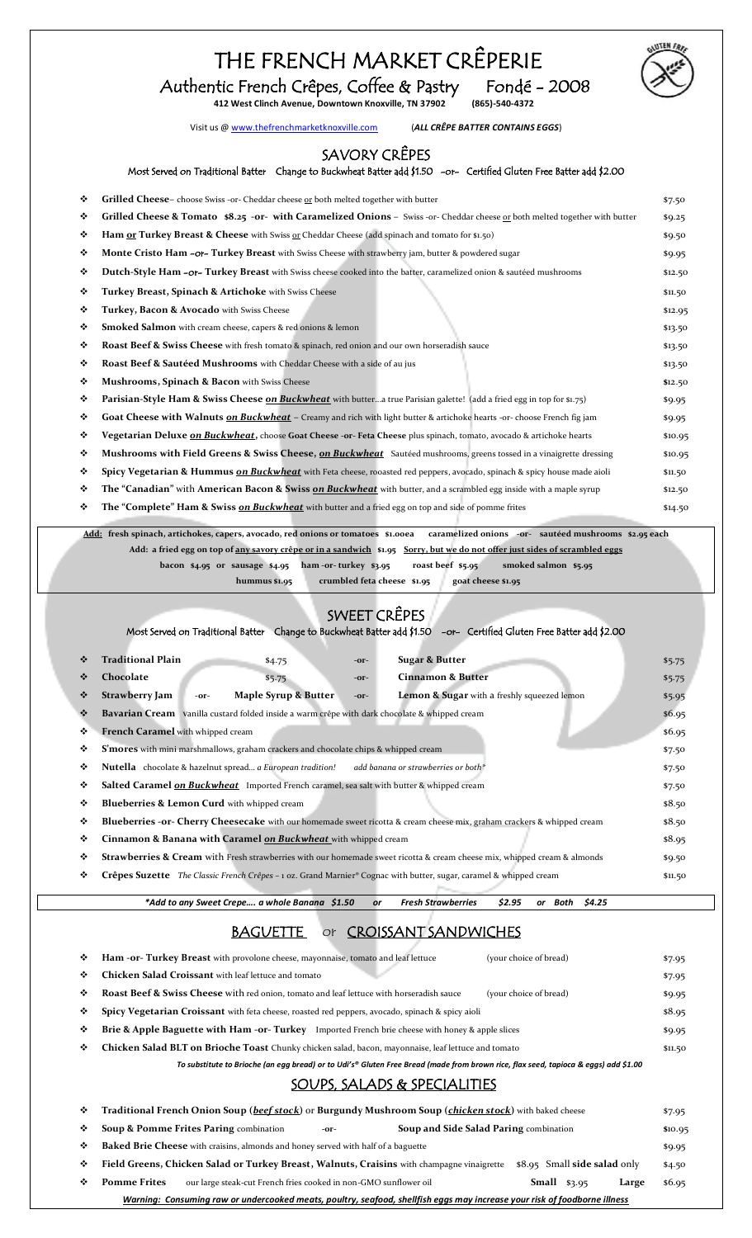## THE FRENCH MARKET CRÊPERIE





Visit us [@ www.thefrenchmarketknoxville.com](http://www.thefrenchmarketknoxville.com/) (*ALL CRÊPE BATTER CONTAINS EGGS*)

#### SAVORY CRÊPES

#### Most Served on Traditional Batter Change to Buckwheat Batter add \$1.50 -or- Certified Gluten Free Batter add \$2.00

| ❖ | <b>Grilled Cheese-</b> choose Swiss -or- Cheddar cheese or both melted together with butter                                                | \$7.50  |
|---|--------------------------------------------------------------------------------------------------------------------------------------------|---------|
|   |                                                                                                                                            |         |
| ❖ | Grilled Cheese & Tomato \$8.25 - or- with Caramelized Onions - Swiss - or- Cheddar cheese or both melted together with butter              | \$9.25  |
| ❖ | Ham or Turkey Breast & Cheese with Swiss or Cheddar Cheese (add spinach and tomato for \$1.50)                                             | \$9.50  |
| ❖ | Monte Cristo Ham -or- Turkey Breast with Swiss Cheese with strawberry jam, butter & powdered sugar                                         | \$9.95  |
| ❖ | Dutch-Style Ham - or- Turkey Breast with Swiss cheese cooked into the batter, caramelized onion & sautéed mushrooms                        | \$12.50 |
| ❖ | Turkey Breast, Spinach & Artichoke with Swiss Cheese                                                                                       | \$11.50 |
| ❖ | Turkey, Bacon & Avocado with Swiss Cheese                                                                                                  | \$12.95 |
| ❖ | <b>Smoked Salmon</b> with cream cheese, capers & red onions & lemon                                                                        | \$13.50 |
| ❖ | Roast Beef & Swiss Cheese with fresh tomato & spinach, red onion and our own horseradish sauce                                             | \$13.50 |
| ❖ | Roast Beef & Sautéed Mushrooms with Cheddar Cheese with a side of au jus                                                                   | \$13.50 |
| ❖ | Mushrooms, Spinach & Bacon with Swiss Cheese                                                                                               | \$12.50 |
| ❖ | <b>Parisian-Style Ham &amp; Swiss Cheese on Buckwheat</b> with buttera true Parisian galette! (add a fried egg in top for \$1.75)          | \$9.95  |
| ❖ | Goat Cheese with Walnuts on Buckwheat – Creamy and rich with light butter & artichoke hearts -or- choose French fig jam                    | \$9.95  |
| ❖ | <b>Vegetarian Deluxe <u>on Buckwheat</u>,</b> choose G <b>oat Cheese -or- Feta Cheese</b> plus spinach, tomato, avocado & artichoke hearts | \$10.95 |
| ❖ | Mushrooms with Field Greens & Swiss Cheese, on Buckwheat Sautéed mushrooms, greens tossed in a vinaigrette dressing                        | \$10.95 |
| ❖ | Spicy Vegetarian & Hummus on Buckwheat with Feta cheese, rooasted red peppers, avocado, spinach & spicy house made aioli                   | \$11.50 |
| ❖ | The "Canadian" with American Bacon & Swiss on Buckwheat with butter, and a scrambled egg inside with a maple syrup                         | \$12.50 |
| ❖ | <b>The "Complete" Ham &amp; Swiss on Buckwheat</b> with butter and a fried egg on top and side of pomme frites                             | \$14.50 |

**Add: fresh spinach, artichokes, capers, avocado, red onions or tomatoes \$1.00ea caramelized onions -or- sautéed mushrooms \$2.95 each Add: a fried egg on top of any savory crêpe or in a sandwich \$1.95 Sorry, but we do not offer just sides of scrambled eggs bacon \$4.95 or sausage \$4.95 ham -or- turkey \$3.95 roast beef \$5.95 smoked salmon \$5.95**

**hummus \$1.95 crumbled feta cheese \$1.95 goat cheese \$1.95** 

#### SWEET CRÊPES

Most Served on Traditional Batter Change to Buckwheat Batter add \$1.50 -or- Certified Gluten Free Batter add \$2.00

|   | <b>Traditional Plain</b>                                                                                | \$4.75               | $-OT-$ | <b>Sugar &amp; Butter</b>                                                                                                             | \$5.75  |
|---|---------------------------------------------------------------------------------------------------------|----------------------|--------|---------------------------------------------------------------------------------------------------------------------------------------|---------|
| ❖ | Chocolate                                                                                               | \$5.75               | $-OT-$ | <b>Cinnamon &amp; Butter</b>                                                                                                          | \$5.75  |
| ❖ | Strawberry Jam<br>$-OT-$                                                                                | Maple Syrup & Butter | $-OT-$ | <b>Lemon &amp; Sugar</b> with a freshly squeezed lemon                                                                                | \$5.95  |
|   | Bavarian Cream vanilla custard folded inside a warm crêpe with dark chocolate & whipped cream           |                      |        | \$6.95                                                                                                                                |         |
| ❖ | French Caramel with whipped cream                                                                       |                      |        | \$6.95                                                                                                                                |         |
| ٠ | <b>S'mores</b> with mini marshmallows, graham crackers and chocolate chips & whipped cream              |                      |        | \$7.50                                                                                                                                |         |
| ❖ | <b>Nutella</b> chocolate & hazelnut spread a European tradition!<br>add banana or strawberries or both* |                      |        | \$7.50                                                                                                                                |         |
| ❖ | <b>Salted Caramel on Buckwheat</b> Imported French caramel, sea salt with butter & whipped cream        |                      |        | \$7.50                                                                                                                                |         |
| ٠ | Blueberries & Lemon Curd with whipped cream                                                             |                      |        |                                                                                                                                       | \$8.50  |
| ❖ |                                                                                                         |                      |        | Blueberries -or- Cherry Cheesecake with our homemade sweet ricotta & cream cheese mix, graham crackers & whipped cream                | \$8.50  |
| ❖ | Cinnamon & Banana with Caramel on Buckwheat with whipped cream                                          |                      |        |                                                                                                                                       | \$8.95  |
| ❖ |                                                                                                         |                      |        | Strawberries & Cream with Fresh strawberries with our homemade sweet ricotta & cream cheese mix, whipped cream & almonds              | \$9.50  |
| ❖ |                                                                                                         |                      |        | <b>Crêpes Suzette</b> The Classic French Crêpes – 1 oz. Grand Marnier <sup>®</sup> Cognac with butter, sugar, caramel & whipped cream | \$11.50 |
|   |                                                                                                         |                      |        |                                                                                                                                       |         |

*\*Add to any Sweet Crepe…. a whole Banana \$1.50 or Fresh Strawberries \$2.95 or Both \$4.25*

### **BAGUETTE** or **CROISSANT SANDWICHES**

| ❖                            | <b>Ham -or- Turkey Breast</b> with provolone cheese, mayonnaise, tomato and leaf lettuce<br>(your choice of bread)                   | \$7.95 |  |  |  |
|------------------------------|--------------------------------------------------------------------------------------------------------------------------------------|--------|--|--|--|
| ❖                            | <b>Chicken Salad Croissant</b> with leaf lettuce and tomato                                                                          | \$7.95 |  |  |  |
| ❖                            | <b>Roast Beef &amp; Swiss Cheese</b> with red onion, tomato and leaf lettuce with horseradish sauce<br>(your choice of bread)        | \$9.95 |  |  |  |
| ❖                            | <b>Spicy Vegetarian Croissant</b> with feta cheese, roasted red peppers, avocado, spinach & spicy aioli                              |        |  |  |  |
| ❖                            | Brie & Apple Baguette with Ham - or-Turkey Imported French brie cheese with honey & apple slices<br>\$9.95                           |        |  |  |  |
| ❖                            | Chicken Salad BLT on Brioche Toast Chunky chicken salad, bacon, mayonnaise, leaf lettuce and tomato                                  |        |  |  |  |
|                              | To substitute to Brioche (an egg bread) or to Udi's® Gluten Free Bread (made from brown rice, flax seed, tapioca & eggs) add \$1.00  |        |  |  |  |
| SOUPS, SALADS & SPECIALITIES |                                                                                                                                      |        |  |  |  |
| ❖                            | Traditional French Onion Soup (beef stock) or Burgundy Mushroom Soup (chicken stock) with baked cheese<br>\$7.95                     |        |  |  |  |
| ❖                            | Soup & Pomme Frites Paring combination<br><b>Soup and Side Salad Paring combination</b><br>$-OT-$                                    |        |  |  |  |
| ❖                            | <b>Baked Brie Cheese</b> with craisins, almonds and honey served with half of a baguette                                             |        |  |  |  |
| ❖                            | \$8.95 Small side salad only<br>Field Greens, Chicken Salad or Turkey Breast, Walnuts, Craisins with champagne vinaigrette<br>\$4.50 |        |  |  |  |
| ❖                            | <b>Pomme Frites</b><br>$Small$ \$3.95<br>our large steak-cut French fries cooked in non-GMO sunflower oil<br>Large                   |        |  |  |  |

*Warning: Consuming raw or undercooked meats, poultry, seafood, shellfish eggs may increase your risk of foodborne illness*